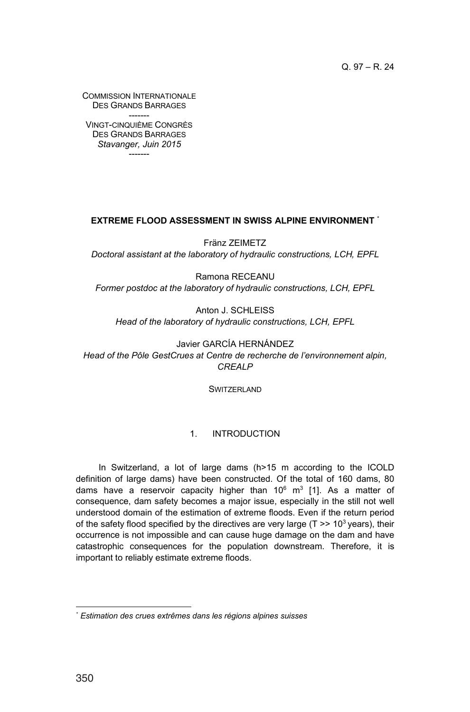COMMISSION INTERNATIONALE DES GRANDS BARRAGES

------- VINGT-CINQUIÈME CONGRÈS DES GRANDS BARRAGES *Stavanger, Juin 2015* -------

### **EXTREME FLOOD ASSESSMENT IN SWISS ALPINE ENVIRONMENT** \*

Fränz ZEIMETZ *Doctoral assistant at the laboratory of hydraulic constructions, LCH, EPFL*

Ramona RECEANU *Former postdoc at the laboratory of hydraulic constructions, LCH, EPFL*

Anton J. SCHLEISS *Head of the laboratory of hydraulic constructions, LCH, EPFL*

Javier GARCÍA HERNÁNDEZ *Head of the Pôle GestCrues at Centre de recherche de l'environnement alpin, CREALP*

**SWITZERLAND** 

## 1. INTRODUCTION

In Switzerland, a lot of large dams (h>15 m according to the ICOLD definition of large dams) have been constructed. Of the total of 160 dams, 80 dams have a reservoir capacity higher than  $10^6$  m<sup>3</sup> [1]. As a matter of consequence, dam safety becomes a major issue, especially in the still not well understood domain of the estimation of extreme floods. Even if the return period of the safety flood specified by the directives are very large ( $T \gg 10^3$  years), their occurrence is not impossible and can cause huge damage on the dam and have catastrophic consequences for the population downstream. Therefore, it is important to reliably estimate extreme floods.

*<sup>\*</sup> Estimation des crues extrêmes dans les régions alpines suisses*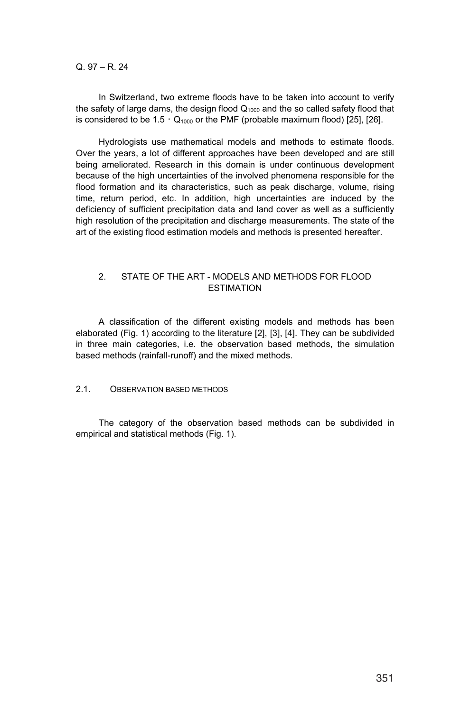In Switzerland, two extreme floods have to be taken into account to verify the safety of large dams, the design flood  $Q<sub>1000</sub>$  and the so called safety flood that is considered to be  $1.5 \cdot Q_{1000}$  or the PMF (probable maximum flood) [25], [26].

Hydrologists use mathematical models and methods to estimate floods. Over the years, a lot of different approaches have been developed and are still being ameliorated. Research in this domain is under continuous development because of the high uncertainties of the involved phenomena responsible for the flood formation and its characteristics, such as peak discharge, volume, rising time, return period, etc. In addition, high uncertainties are induced by the deficiency of sufficient precipitation data and land cover as well as a sufficiently high resolution of the precipitation and discharge measurements. The state of the art of the existing flood estimation models and methods is presented hereafter.

### 2. STATE OF THE ART - MODELS AND METHODS FOR FLOOD ESTIMATION

A classification of the different existing models and methods has been elaborated (Fig. 1) according to the literature [2], [3], [4]. They can be subdivided in three main categories, i.e. the observation based methods, the simulation based methods (rainfall-runoff) and the mixed methods.

### 2.1. OBSERVATION BASED METHODS

The category of the observation based methods can be subdivided in empirical and statistical methods (Fig. 1).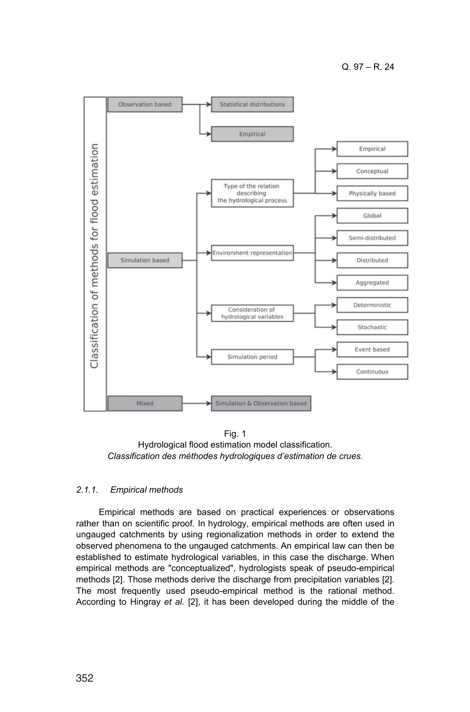

Fig. 1 Hydrological flood estimation model classification. *Classification des méthodes hydrologiques d'estimation de crues.*

## *2.1.1. Empirical methods*

Empirical methods are based on practical experiences or observations rather than on scientific proof. In hydrology, empirical methods are often used in ungauged catchments by using regionalization methods in order to extend the observed phenomena to the ungauged catchments. An empirical law can then be established to estimate hydrological variables, in this case the discharge. When empirical methods are "conceptualized", hydrologists speak of pseudo-empirical methods [2]. Those methods derive the discharge from precipitation variables [2]. The most frequently used pseudo-empirical method is the rational method. According to Hingray *et al.* [2], it has been developed during the middle of the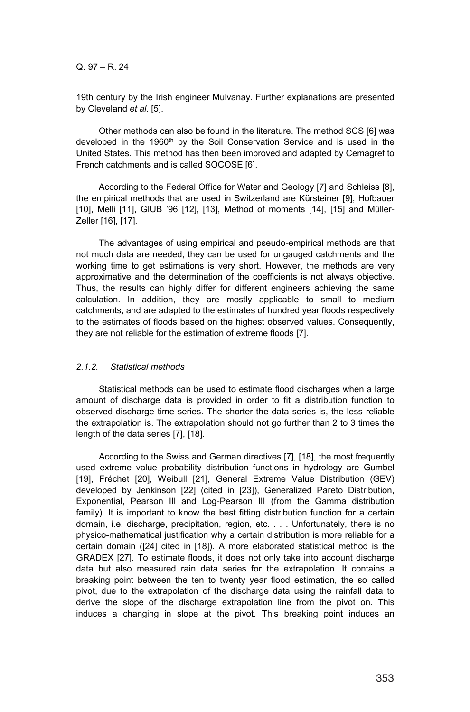19th century by the Irish engineer Mulvanay. Further explanations are presented by Cleveland *et al*. [5].

Other methods can also be found in the literature. The method SCS [6] was developed in the 1960<sup>th</sup> by the Soil Conservation Service and is used in the United States. This method has then been improved and adapted by Cemagref to French catchments and is called SOCOSE [6].

According to the Federal Office for Water and Geology [7] and Schleiss [8], the empirical methods that are used in Switzerland are Kürsteiner [9], Hofbauer [10], Melli [11], GIUB '96 [12], [13], Method of moments [14], [15] and Müller-Zeller [16], [17].

The advantages of using empirical and pseudo-empirical methods are that not much data are needed, they can be used for ungauged catchments and the working time to get estimations is very short. However, the methods are very approximative and the determination of the coefficients is not always objective. Thus, the results can highly differ for different engineers achieving the same calculation. In addition, they are mostly applicable to small to medium catchments, and are adapted to the estimates of hundred year floods respectively to the estimates of floods based on the highest observed values. Consequently, they are not reliable for the estimation of extreme floods [7].

#### *2.1.2. Statistical methods*

Statistical methods can be used to estimate flood discharges when a large amount of discharge data is provided in order to fit a distribution function to observed discharge time series. The shorter the data series is, the less reliable the extrapolation is. The extrapolation should not go further than 2 to 3 times the length of the data series [7], [18].

According to the Swiss and German directives [7], [18], the most frequently used extreme value probability distribution functions in hydrology are Gumbel [19], Fréchet [20], Weibull [21], General Extreme Value Distribution (GEV) developed by Jenkinson [22] (cited in [23]), Generalized Pareto Distribution, Exponential, Pearson III and Log-Pearson III (from the Gamma distribution family). It is important to know the best fitting distribution function for a certain domain, i.e. discharge, precipitation, region, etc. . . . Unfortunately, there is no physico-mathematical justification why a certain distribution is more reliable for a certain domain ([24] cited in [18]). A more elaborated statistical method is the GRADEX [27]. To estimate floods, it does not only take into account discharge data but also measured rain data series for the extrapolation. It contains a breaking point between the ten to twenty year flood estimation, the so called pivot, due to the extrapolation of the discharge data using the rainfall data to derive the slope of the discharge extrapolation line from the pivot on. This induces a changing in slope at the pivot. This breaking point induces an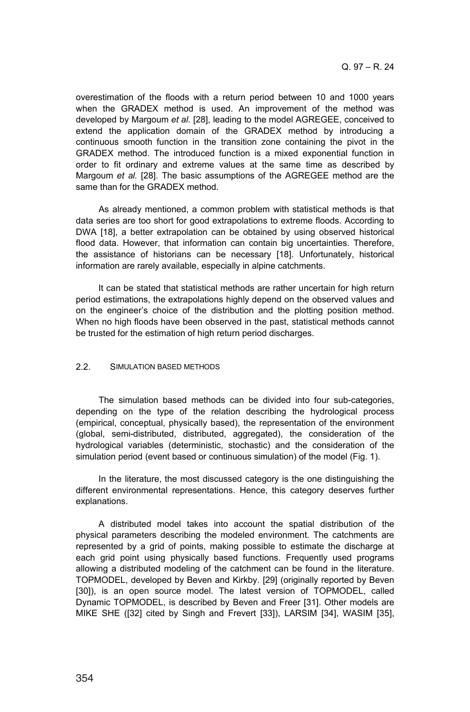overestimation of the floods with a return period between 10 and 1000 years when the GRADEX method is used. An improvement of the method was developed by Margoum *et al*. [28], leading to the model AGREGEE, conceived to extend the application domain of the GRADEX method by introducing a continuous smooth function in the transition zone containing the pivot in the GRADEX method. The introduced function is a mixed exponential function in order to fit ordinary and extreme values at the same time as described by Margoum *et al.* [28]. The basic assumptions of the AGREGEE method are the same than for the GRADEX method.

As already mentioned, a common problem with statistical methods is that data series are too short for good extrapolations to extreme floods. According to DWA [18], a better extrapolation can be obtained by using observed historical flood data. However, that information can contain big uncertainties. Therefore, the assistance of historians can be necessary [18]. Unfortunately, historical information are rarely available, especially in alpine catchments.

It can be stated that statistical methods are rather uncertain for high return period estimations, the extrapolations highly depend on the observed values and on the engineer's choice of the distribution and the plotting position method. When no high floods have been observed in the past, statistical methods cannot be trusted for the estimation of high return period discharges.

## 2.2. SIMULATION BASED METHODS

The simulation based methods can be divided into four sub-categories, depending on the type of the relation describing the hydrological process (empirical, conceptual, physically based), the representation of the environment (global, semi-distributed, distributed, aggregated), the consideration of the hydrological variables (deterministic, stochastic) and the consideration of the simulation period (event based or continuous simulation) of the model (Fig. 1).

In the literature, the most discussed category is the one distinguishing the different environmental representations. Hence, this category deserves further explanations.

A distributed model takes into account the spatial distribution of the physical parameters describing the modeled environment. The catchments are represented by a grid of points, making possible to estimate the discharge at each grid point using physically based functions. Frequently used programs allowing a distributed modeling of the catchment can be found in the literature. TOPMODEL, developed by Beven and Kirkby. [29] (originally reported by Beven [30]), is an open source model. The latest version of TOPMODEL, called Dynamic TOPMODEL, is described by Beven and Freer [31]. Other models are MIKE SHE ([32] cited by Singh and Frevert [33]), LARSIM [34], WASIM [35],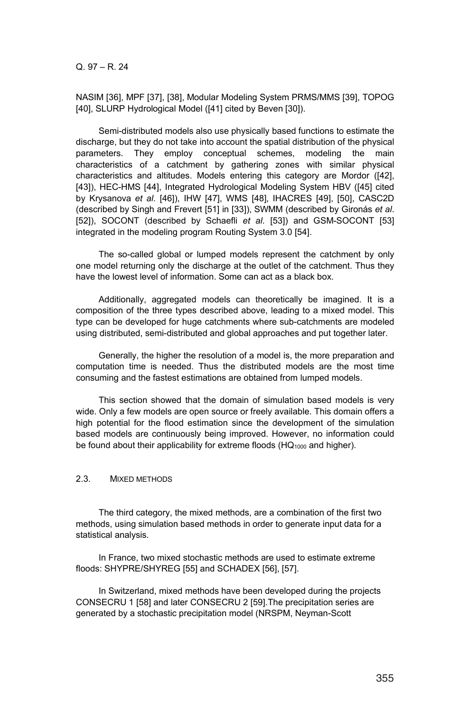NASIM [36], MPF [37], [38], Modular Modeling System PRMS/MMS [39], TOPOG [40], SLURP Hydrological Model ([41] cited by Beven [30]).

Semi-distributed models also use physically based functions to estimate the discharge, but they do not take into account the spatial distribution of the physical parameters. They employ conceptual schemes, modeling the main characteristics of a catchment by gathering zones with similar physical characteristics and altitudes. Models entering this category are Mordor ([42], [43]), HEC-HMS [44], Integrated Hydrological Modeling System HBV ([45] cited by Krysanova *et al*. [46]), IHW [47], WMS [48], IHACRES [49], [50], CASC2D (described by Singh and Frevert [51] in [33]), SWMM (described by Gironás *et al*. [52]), SOCONT (described by Schaefli *et al*. [53]) and GSM-SOCONT [53] integrated in the modeling program Routing System 3.0 [54].

The so-called global or lumped models represent the catchment by only one model returning only the discharge at the outlet of the catchment. Thus they have the lowest level of information. Some can act as a black box.

Additionally, aggregated models can theoretically be imagined. It is a composition of the three types described above, leading to a mixed model. This type can be developed for huge catchments where sub-catchments are modeled using distributed, semi-distributed and global approaches and put together later.

Generally, the higher the resolution of a model is, the more preparation and computation time is needed. Thus the distributed models are the most time consuming and the fastest estimations are obtained from lumped models.

This section showed that the domain of simulation based models is very wide. Only a few models are open source or freely available. This domain offers a high potential for the flood estimation since the development of the simulation based models are continuously being improved. However, no information could be found about their applicability for extreme floods  $(HQ<sub>1000</sub>$  and higher).

### 2.3. MIXED METHODS

The third category, the mixed methods, are a combination of the first two methods, using simulation based methods in order to generate input data for a statistical analysis.

In France, two mixed stochastic methods are used to estimate extreme floods: SHYPRE/SHYREG [55] and SCHADEX [56], [57].

In Switzerland, mixed methods have been developed during the projects CONSECRU 1 [58] and later CONSECRU 2 [59].The precipitation series are generated by a stochastic precipitation model (NRSPM, Neyman-Scott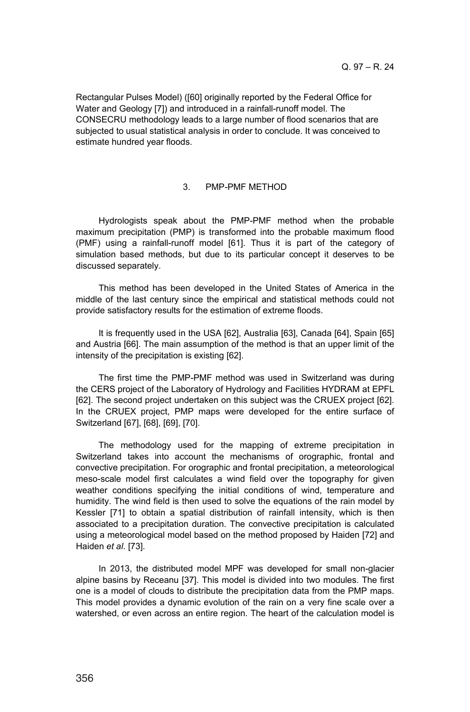Rectangular Pulses Model) ([60] originally reported by the Federal Office for Water and Geology [7]) and introduced in a rainfall-runoff model. The CONSECRU methodology leads to a large number of flood scenarios that are subjected to usual statistical analysis in order to conclude. It was conceived to estimate hundred year floods.

#### 3. PMP-PMF METHOD

Hydrologists speak about the PMP-PMF method when the probable maximum precipitation (PMP) is transformed into the probable maximum flood (PMF) using a rainfall-runoff model [61]. Thus it is part of the category of simulation based methods, but due to its particular concept it deserves to be discussed separately.

This method has been developed in the United States of America in the middle of the last century since the empirical and statistical methods could not provide satisfactory results for the estimation of extreme floods.

It is frequently used in the USA [62], Australia [63], Canada [64], Spain [65] and Austria [66]. The main assumption of the method is that an upper limit of the intensity of the precipitation is existing [62].

The first time the PMP-PMF method was used in Switzerland was during the CERS project of the Laboratory of Hydrology and Facilities HYDRAM at EPFL [62]. The second project undertaken on this subject was the CRUEX project [62]. In the CRUEX project, PMP maps were developed for the entire surface of Switzerland [67], [68], [69], [70].

The methodology used for the mapping of extreme precipitation in Switzerland takes into account the mechanisms of orographic, frontal and convective precipitation. For orographic and frontal precipitation, a meteorological meso-scale model first calculates a wind field over the topography for given weather conditions specifying the initial conditions of wind, temperature and humidity. The wind field is then used to solve the equations of the rain model by Kessler [71] to obtain a spatial distribution of rainfall intensity, which is then associated to a precipitation duration. The convective precipitation is calculated using a meteorological model based on the method proposed by Haiden [72] and Haiden *et al*. [73].

In 2013, the distributed model MPF was developed for small non-glacier alpine basins by Receanu [37]. This model is divided into two modules. The first one is a model of clouds to distribute the precipitation data from the PMP maps. This model provides a dynamic evolution of the rain on a very fine scale over a watershed, or even across an entire region. The heart of the calculation model is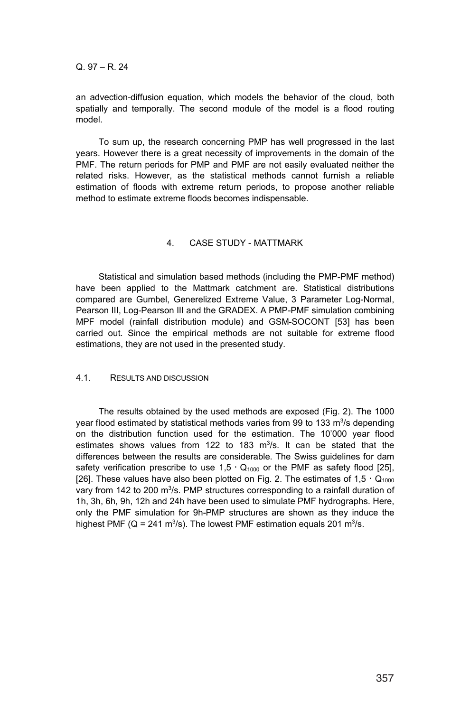an advection-diffusion equation, which models the behavior of the cloud, both spatially and temporally. The second module of the model is a flood routing model.

To sum up, the research concerning PMP has well progressed in the last years. However there is a great necessity of improvements in the domain of the PMF. The return periods for PMP and PMF are not easily evaluated neither the related risks. However, as the statistical methods cannot furnish a reliable estimation of floods with extreme return periods, to propose another reliable method to estimate extreme floods becomes indispensable.

## 4. CASE STUDY - MATTMARK

Statistical and simulation based methods (including the PMP-PMF method) have been applied to the Mattmark catchment are. Statistical distributions compared are Gumbel, Generelized Extreme Value, 3 Parameter Log-Normal, Pearson III, Log-Pearson III and the GRADEX. A PMP-PMF simulation combining MPF model (rainfall distribution module) and GSM-SOCONT [53] has been carried out. Since the empirical methods are not suitable for extreme flood estimations, they are not used in the presented study.

### 4.1. RESULTS AND DISCUSSION

The results obtained by the used methods are exposed (Fig. 2). The 1000 year flood estimated by statistical methods varies from 99 to 133 m<sup>3</sup>/s depending on the distribution function used for the estimation. The 10'000 year flood estimates shows values from  $122$  to  $183$  m<sup>3</sup>/s. It can be stated that the differences between the results are considerable. The Swiss guidelines for dam safety verification prescribe to use  $1.5 \cdot Q_{1000}$  or the PMF as safety flood [25], [26]. These values have also been plotted on Fig. 2. The estimates of  $1,5 \cdot Q_{1000}$ vary from 142 to 200 m<sup>3</sup>/s. PMP structures corresponding to a rainfall duration of 1h, 3h, 6h, 9h, 12h and 24h have been used to simulate PMF hydrographs. Here, only the PMF simulation for 9h-PMP structures are shown as they induce the highest PMF (Q = 241 m<sup>3</sup>/s). The lowest PMF estimation equals 201 m<sup>3</sup>/s.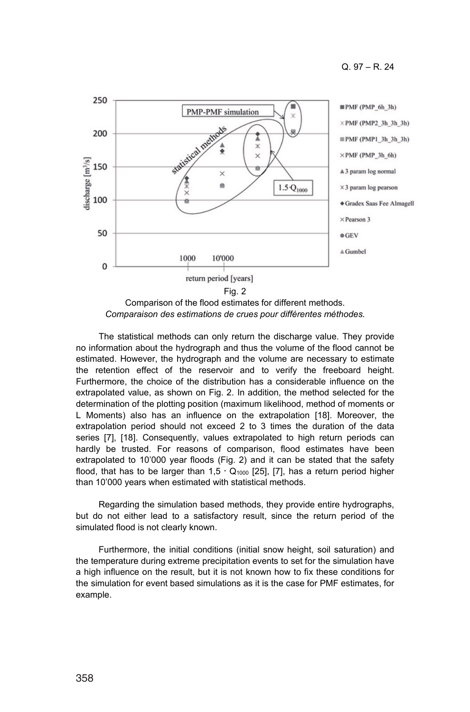

Comparison of the flood estimates for different methods. *Comparaison des estimations de crues pour différentes méthodes.*

The statistical methods can only return the discharge value. They provide no information about the hydrograph and thus the volume of the flood cannot be estimated. However, the hydrograph and the volume are necessary to estimate the retention effect of the reservoir and to verify the freeboard height. Furthermore, the choice of the distribution has a considerable influence on the extrapolated value, as shown on Fig. 2. In addition, the method selected for the determination of the plotting position (maximum likelihood, method of moments or L Moments) also has an influence on the extrapolation [18]. Moreover, the extrapolation period should not exceed 2 to 3 times the duration of the data series [7], [18]. Consequently, values extrapolated to high return periods can hardly be trusted. For reasons of comparison, flood estimates have been extrapolated to 10'000 year floods (Fig. 2) and it can be stated that the safety flood, that has to be larger than  $1.5 \cdot Q_{1000}$  [25], [7], has a return period higher than 10'000 years when estimated with statistical methods.

Regarding the simulation based methods, they provide entire hydrographs, but do not either lead to a satisfactory result, since the return period of the simulated flood is not clearly known.

Furthermore, the initial conditions (initial snow height, soil saturation) and the temperature during extreme precipitation events to set for the simulation have a high influence on the result, but it is not known how to fix these conditions for the simulation for event based simulations as it is the case for PMF estimates, for example.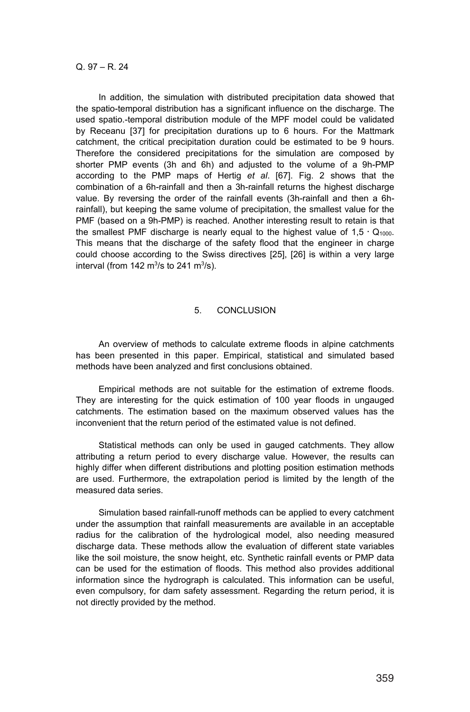In addition, the simulation with distributed precipitation data showed that the spatio-temporal distribution has a significant influence on the discharge. The used spatio.-temporal distribution module of the MPF model could be validated by Receanu [37] for precipitation durations up to 6 hours. For the Mattmark catchment, the critical precipitation duration could be estimated to be 9 hours. Therefore the considered precipitations for the simulation are composed by shorter PMP events (3h and 6h) and adjusted to the volume of a 9h-PMP according to the PMP maps of Hertig *et al*. [67]. Fig. 2 shows that the combination of a 6h-rainfall and then a 3h-rainfall returns the highest discharge value. By reversing the order of the rainfall events (3h-rainfall and then a 6hrainfall), but keeping the same volume of precipitation, the smallest value for the PMF (based on a 9h-PMP) is reached. Another interesting result to retain is that the smallest PMF discharge is nearly equal to the highest value of  $1.5 \cdot Q_{1000}$ . This means that the discharge of the safety flood that the engineer in charge could choose according to the Swiss directives [25], [26] is within a very large interval (from 142 m<sup>3</sup>/s to 241 m<sup>3</sup>/s).

### 5. CONCLUSION

An overview of methods to calculate extreme floods in alpine catchments has been presented in this paper. Empirical, statistical and simulated based methods have been analyzed and first conclusions obtained.

Empirical methods are not suitable for the estimation of extreme floods. They are interesting for the quick estimation of 100 year floods in ungauged catchments. The estimation based on the maximum observed values has the inconvenient that the return period of the estimated value is not defined.

Statistical methods can only be used in gauged catchments. They allow attributing a return period to every discharge value. However, the results can highly differ when different distributions and plotting position estimation methods are used. Furthermore, the extrapolation period is limited by the length of the measured data series.

Simulation based rainfall-runoff methods can be applied to every catchment under the assumption that rainfall measurements are available in an acceptable radius for the calibration of the hydrological model, also needing measured discharge data. These methods allow the evaluation of different state variables like the soil moisture, the snow height, etc. Synthetic rainfall events or PMP data can be used for the estimation of floods. This method also provides additional information since the hydrograph is calculated. This information can be useful, even compulsory, for dam safety assessment. Regarding the return period, it is not directly provided by the method.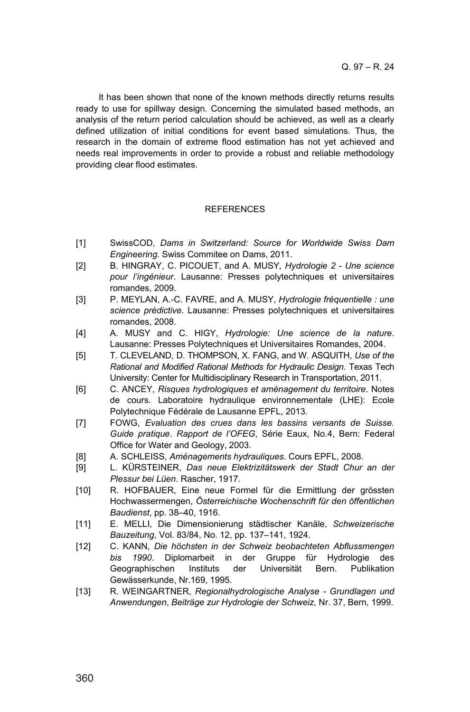It has been shown that none of the known methods directly returns results ready to use for spillway design. Concerning the simulated based methods, an analysis of the return period calculation should be achieved, as well as a clearly defined utilization of initial conditions for event based simulations. Thus, the research in the domain of extreme flood estimation has not yet achieved and needs real improvements in order to provide a robust and reliable methodology providing clear flood estimates.

## **REFERENCES**

- [1] SwissCOD, *Dams in Switzerland: Source for Worldwide Swiss Dam Engineering*. Swiss Commitee on Dams, 2011.
- [2] B. HINGRAY, C. PICOUET, and A. MUSY*, Hydrologie 2 - Une science pour l'ingénieur*. Lausanne: Presses polytechniques et universitaires romandes, 2009.
- [3] P. MEYLAN, A.-C. FAVRE, and A. MUSY, *Hydrologie fréquentielle : une science prédictive*. Lausanne: Presses polytechniques et universitaires romandes, 2008.
- [4] A. MUSY and C. HIGY, *Hydrologie: Une science de la nature*. Lausanne: Presses Polytechniques et Universitaires Romandes, 2004.
- [5] T. CLEVELAND, D. THOMPSON, X. FANG, and W. ASQUITH, *Use of the Rational and Modified Rational Methods for Hydraulic Design*. Texas Tech University: Center for Multidisciplinary Research in Transportation, 2011.
- [6] C. ANCEY, *Risques hydrologiques et aménagement du territoire*. Notes de cours. Laboratoire hydraulique environnementale (LHE): Ecole Polytechnique Fédérale de Lausanne EPFL, 2013.
- [7] FOWG, *Evaluation des crues dans les bassins versants de Suisse. Guide pratique*. *Rapport de l'OFEG*, Série Eaux, No.4, Bern: Federal Office for Water and Geology, 2003.
- [8] A. SCHLEISS, *Aménagements hydrauliques*. Cours EPFL, 2008.
- [9] L. KÜRSTEINER, *Das neue Elektrizitätswerk der Stadt Chur an der Plessur bei Lüen*. Rascher, 1917.
- [10] R. HOFBAUER, Eine neue Formel für die Ermittlung der grössten Hochwassermengen, *Österreichische Wochenschrift für den öffentlichen Baudienst*, pp. 38–40, 1916.
- [11] E. MELLI, Die Dimensionierung städtischer Kanäle, *Schweizerische Bauzeitung*, Vol. 83/84, No. 12, pp. 137–141, 1924.
- [12] C. KANN, *Die höchsten in der Schweiz beobachteten Abflussmengen bis 1990*. Diplomarbeit in der Gruppe für Hydrologie des Geographischen Instituts der Universität Bern. Publikation Gewässerkunde, Nr.169, 1995.
- [13] R. WEINGARTNER, *Regionalhydrologische Analyse - Grundlagen und Anwendungen*, *Beiträge zur Hydrologie der Schweiz*, Nr. 37, Bern, 1999.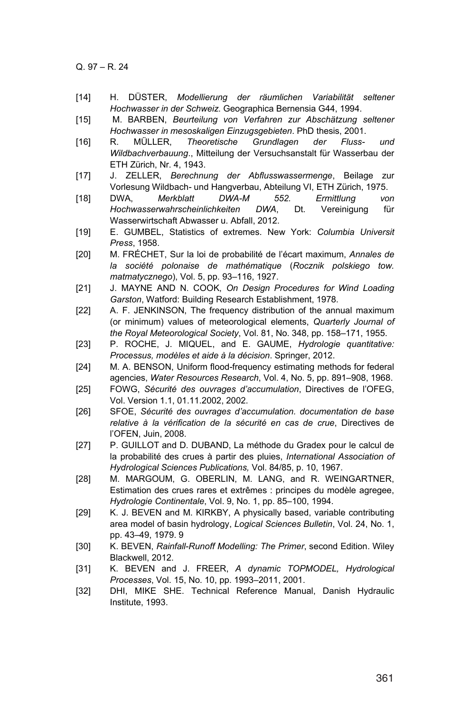- [14] H. DÜSTER, *Modellierung der räumlichen Variabilität seltener Hochwasser in der Schweiz*. Geographica Bernensia G44, 1994.
- [15] M. BARBEN, *Beurteilung von Verfahren zur Abschätzung seltener Hochwasser in mesoskaligen Einzugsgebieten*. PhD thesis, 2001.
- [16] R. MÜLLER, *Theoretische Grundlagen der Fluss- und Wildbachverbauung*., Mitteilung der Versuchsanstalt für Wasserbau der ETH Zürich, Nr. 4, 1943.
- [17] J. ZELLER, *Berechnung der Abflusswassermenge*, Beilage zur Vorlesung Wildbach- und Hangverbau, Abteilung VI, ETH Zürich, 1975.
- [18] DWA, *Merkblatt DWA-M 552. Ermittlung von Hochwasserwahrscheinlichkeiten DWA*, Dt. Vereinigung für Wasserwirtschaft Abwasser u. Abfall, 2012.
- [19] E. GUMBEL, Statistics of extremes. New York: *Columbia Universit Press*, 1958.
- [20] M. FRÉCHET, Sur la loi de probabilité de l'écart maximum, *Annales de la société polonaise de mathématique* (*Rocznik polskiego tow. matmatycznego*), Vol. 5, pp. 93–116, 1927.
- [21] J. MAYNE AND N. COOK, *On Design Procedures for Wind Loading Garston*, Watford: Building Research Establishment, 1978.
- [22] A. F. JENKINSON, The frequency distribution of the annual maximum (or minimum) values of meteorological elements, *Quarterly Journal of the Royal Meteorological Society*, Vol. 81, No. 348, pp. 158–171, 1955.
- [23] P. ROCHE, J. MIQUEL, and E. GAUME, *Hydrologie quantitative: Processus, modèles et aide à la décision*. Springer, 2012.
- [24] M. A. BENSON, Uniform flood-frequency estimating methods for federal agencies, *Water Resources Research*, Vol. 4, No. 5, pp. 891–908, 1968.
- [25] FOWG, *Sécurité des ouvrages d'accumulation*, Directives de l'OFEG, Vol. Version 1.1, 01.11.2002, 2002.
- [26] SFOE, *Sécurité des ouvrages d'accumulation. documentation de base relative à la vérification de la sécurité en cas de crue*, Directives de l'OFEN, Juin, 2008.
- [27] P. GUILLOT and D. DUBAND, La méthode du Gradex pour le calcul de la probabilité des crues à partir des pluies, *International Association of Hydrological Sciences Publications,* Vol. 84/85, p. 10, 1967.
- [28] M. MARGOUM, G. OBERLIN, M. LANG, and R. WEINGARTNER, Estimation des crues rares et extrêmes : principes du modèle agregee, *Hydrologie Continentale*, Vol. 9, No. 1, pp. 85–100, 1994.
- [29] K. J. BEVEN and M. KIRKBY, A physically based, variable contributing area model of basin hydrology, *Logical Sciences Bulletin*, Vol. 24, No. 1, pp. 43–49, 1979. 9
- [30] K. BEVEN, *Rainfall-Runoff Modelling: The Primer*, second Edition. Wiley Blackwell, 2012.
- [31] K. BEVEN and J. FREER, *A dynamic TOPMODEL, Hydrological Processes*, Vol. 15, No. 10, pp. 1993–2011, 2001.
- [32] DHI, MIKE SHE. Technical Reference Manual, Danish Hydraulic Institute, 1993.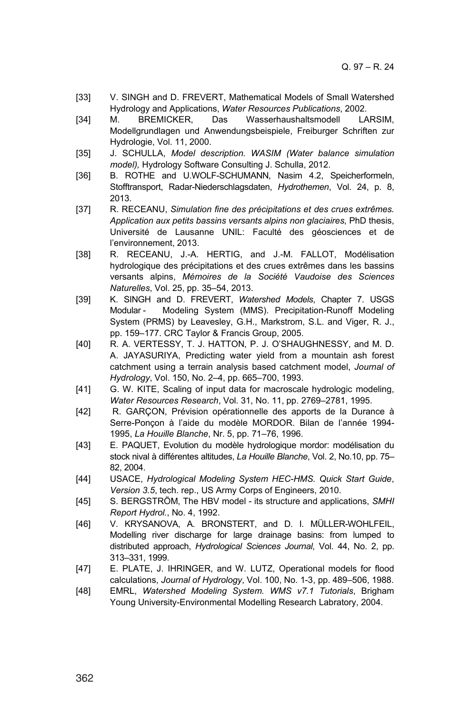- [33] V. SINGH and D. FREVERT, Mathematical Models of Small Watershed Hydrology and Applications, *Water Resources Publications*, 2002.
- [34] M. BREMICKER, Das Wasserhaushaltsmodell LARSIM, Modellgrundlagen und Anwendungsbeispiele, Freiburger Schriften zur Hydrologie, Vol. 11, 2000.
- [35] J. SCHULLA, *Model description. WASIM (Water balance simulation model),* Hydrology Software Consulting J. Schulla, 2012.
- [36] B. ROTHE and U.WOLF-SCHUMANN, Nasim 4.2, Speicherformeln, Stofftransport, Radar-Niederschlagsdaten, *Hydrothemen*, Vol. 24, p. 8, 2013.
- [37] R. RECEANU, *Simulation fine des précipitations et des crues extrêmes. Application aux petits bassins versants alpins non glaciaires*, PhD thesis, Université de Lausanne UNIL: Faculté des géosciences et de l'environnement, 2013.
- [38] R. RECEANU, J.-A. HERTIG, and J.-M. FALLOT, Modélisation hydrologique des précipitations et des crues extrêmes dans les bassins versants alpins, *Mémoires de la Société Vaudoise des Sciences Naturelles*, Vol. 25, pp. 35–54, 2013.
- [39] K. SINGH and D. FREVERT, *Watershed Models*, Chapter 7. USGS Modular - Modeling System (MMS). Precipitation-Runoff Modeling System (PRMS) by Leavesley, G.H., Markstrom, S.L. and Viger, R. J., pp. 159–177. CRC Taylor & Francis Group, 2005.
- [40] R. A. VERTESSY, T. J. HATTON, P. J. O'SHAUGHNESSY, and M. D. A. JAYASURIYA, Predicting water yield from a mountain ash forest catchment using a terrain analysis based catchment model, *Journal of Hydrology*, Vol. 150, No. 2–4, pp. 665–700, 1993.
- [41] G. W. KITE, Scaling of input data for macroscale hydrologic modeling, *Water Resources Research*, Vol. 31, No. 11, pp. 2769–2781, 1995.
- [42] R. GARÇON, Prévision opérationnelle des apports de la Durance à Serre-Ponçon à l'aide du modèle MORDOR. Bilan de l'année 1994- 1995, *La Houille Blanche*, Nr. 5, pp. 71–76, 1996.
- [43] E. PAQUET, Evolution du modèle hydrologique mordor: modélisation du stock nival à différentes altitudes, *La Houille Blanche*, Vol. 2, No.10, pp. 75– 82, 2004.
- [44] USACE, *Hydrological Modeling System HEC-HMS. Quick Start Guide*, *Version 3.5*, tech. rep., US Army Corps of Engineers, 2010.
- [45] S. BERGSTRÖM, The HBV model its structure and applications, *SMHI Report Hydrol.*, No. 4, 1992.
- [46] V. KRYSANOVA, A. BRONSTERT, and D. I. MÜLLER-WOHLFEIL, Modelling river discharge for large drainage basins: from lumped to distributed approach, *Hydrological Sciences Journal*, Vol. 44, No. 2, pp. 313–331, 1999.
- [47] E. PLATE, J. IHRINGER, and W. LUTZ, Operational models for flood calculations, *Journal of Hydrology*, Vol. 100, No. 1-3, pp. 489–506, 1988.
- [48] EMRL, *Watershed Modeling System. WMS v7.1 Tutorials*, Brigham Young University-Environmental Modelling Research Labratory, 2004.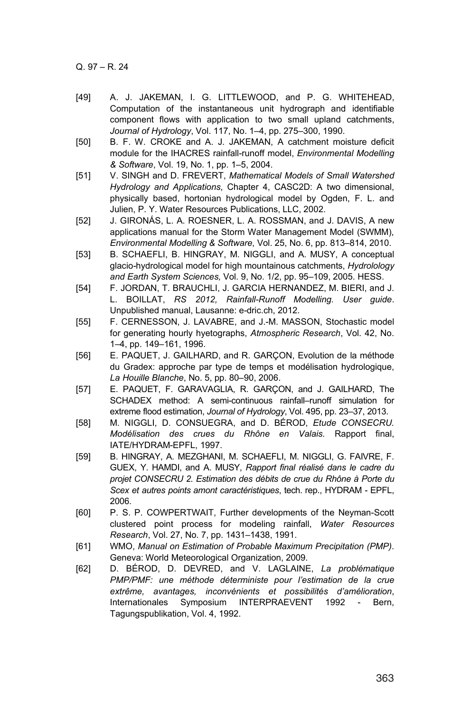- [49] A. J. JAKEMAN, I. G. LITTLEWOOD, and P. G. WHITEHEAD, Computation of the instantaneous unit hydrograph and identifiable component flows with application to two small upland catchments, *Journal of Hydrology*, Vol. 117, No. 1–4, pp. 275–300, 1990.
- [50] B. F. W. CROKE and A. J. JAKEMAN, A catchment moisture deficit module for the IHACRES rainfall-runoff model, *Environmental Modelling & Software*, Vol. 19, No. 1, pp. 1–5, 2004.
- [51] V. SINGH and D. FREVERT, *Mathematical Models of Small Watershed Hydrology and Applications*, Chapter 4, CASC2D: A two dimensional, physically based, hortonian hydrological model by Ogden, F. L. and Julien, P. Y. Water Resources Publications, LLC, 2002.
- [52] J. GIRONÁS, L. A. ROESNER, L. A. ROSSMAN, and J. DAVIS, A new applications manual for the Storm Water Management Model (SWMM), *Environmental Modelling & Software*, Vol. 25, No. 6, pp. 813–814, 2010.
- [53] B. SCHAEFLI, B. HINGRAY, M. NIGGLI, and A. MUSY, A conceptual glacio-hydrological model for high mountainous catchments, *Hydrolology and Earth System Sciences,* Vol. 9, No. 1/2, pp. 95–109, 2005. HESS.
- [54] F. JORDAN, T. BRAUCHLI, J. GARCIA HERNANDEZ, M. BIERI, and J. L. BOILLAT, *RS 2012, Rainfall-Runoff Modelling. User guide*. Unpublished manual, Lausanne: e-dric.ch, 2012.
- [55] F. CERNESSON, J. LAVABRE, and J.-M. MASSON, Stochastic model for generating hourly hyetographs, *Atmospheric Research*, Vol. 42, No. 1–4, pp. 149–161, 1996.
- [56] E. PAQUET, J. GAILHARD, and R. GARÇON, Evolution de la méthode du Gradex: approche par type de temps et modélisation hydrologique, *La Houille Blanche*, No. 5, pp. 80–90, 2006.
- [57] E. PAQUET, F. GARAVAGLIA, R. GARÇON, and J. GAILHARD, The SCHADEX method: A semi-continuous rainfall–runoff simulation for extreme flood estimation, *Journal of Hydrology*, Vol. 495, pp. 23–37, 2013.
- [58] M. NIGGLI, D. CONSUEGRA, and D. BÉROD, *Etude CONSECRU. Modélisation des crues du Rhône en Valais.* Rapport final, IATE/HYDRAM-EPFL, 1997.
- [59] B. HINGRAY, A. MEZGHANI, M. SCHAEFLI, M. NIGGLI, G. FAIVRE, F. GUEX, Y. HAMDI, and A. MUSY, *Rapport final réalisé dans le cadre du projet CONSECRU 2. Estimation des débits de crue du Rhône à Porte du Scex et autres points amont caractéristiques*, tech. rep., HYDRAM - EPFL, 2006.
- [60] P. S. P. COWPERTWAIT, Further developments of the Neyman-Scott clustered point process for modeling rainfall, *Water Resources Research*, Vol. 27, No. 7, pp. 1431–1438, 1991.
- [61] WMO, *Manual on Estimation of Probable Maximum Precipitation (PMP)*. Geneva: World Meteorological Organization, 2009.
- [62] D. BÉROD, D. DEVRED, and V. LAGLAINE, *La problématique PMP/PMF: une méthode déterministe pour l'estimation de la crue extrême, avantages, inconvénients et possibilités d'amélioration*, Internationales Symposium INTERPRAEVENT 1992 - Bern, Tagungspublikation, Vol. 4, 1992.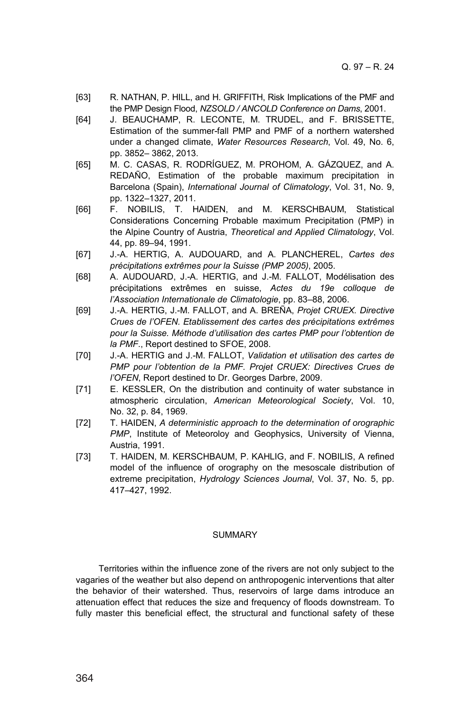- [63] R. NATHAN, P. HILL, and H. GRIFFITH, Risk Implications of the PMF and the PMP Design Flood, *NZSOLD / ANCOLD Conference on Dams*, 2001.
- [64] J. BEAUCHAMP, R. LECONTE, M. TRUDEL, and F. BRISSETTE, Estimation of the summer-fall PMP and PMF of a northern watershed under a changed climate, *Water Resources Research*, Vol. 49, No. 6, pp. 3852– 3862, 2013.
- [65] M. C. CASAS, R. RODRÍGUEZ, M. PROHOM, A. GÁZQUEZ, and A. REDAÑO, Estimation of the probable maximum precipitation in Barcelona (Spain), *International Journal of Climatology*, Vol. 31, No. 9, pp. 1322–1327, 2011.
- [66] F. NOBILIS, T. HAIDEN, and M. KERSCHBAUM, Statistical Considerations Concerning Probable maximum Precipitation (PMP) in the Alpine Country of Austria, *Theoretical and Applied Climatology*, Vol. 44, pp. 89–94, 1991.
- [67] J.-A. HERTIG, A. AUDOUARD, and A. PLANCHEREL, *Cartes des précipitations extrêmes pour la Suisse (PMP 2005)*, 2005.
- [68] A. AUDOUARD, J.-A. HERTIG, and J.-M. FALLOT, Modélisation des précipitations extrêmes en suisse, *Actes du 19e colloque de l'Association Internationale de Climatologie*, pp. 83–88, 2006.
- [69] J.-A. HERTIG, J.-M. FALLOT, and A. BREÑA, *Projet CRUEX. Directive Crues de l'OFEN. Etablissement des cartes des précipitations extrêmes pour la Suisse. Méthode d'utilisation des cartes PMP pour l'obtention de la PMF*., Report destined to SFOE, 2008.
- [70] J.-A. HERTIG and J.-M. FALLOT, *Validation et utilisation des cartes de PMP pour l'obtention de la PMF. Projet CRUEX: Directives Crues de l'OFEN*, Report destined to Dr. Georges Darbre, 2009.
- [71] E. KESSLER, On the distribution and continuity of water substance in atmospheric circulation, *American Meteorological Society*, Vol. 10, No. 32, p. 84, 1969.
- [72] T. HAIDEN, *A deterministic approach to the determination of orographic PMP*, Institute of Meteoroloy and Geophysics, University of Vienna, Austria, 1991.
- [73] T. HAIDEN, M. KERSCHBAUM, P. KAHLIG, and F. NOBILIS, A refined model of the influence of orography on the mesoscale distribution of extreme precipitation, *Hydrology Sciences Journal*, Vol. 37, No. 5, pp. 417–427, 1992.

#### SUMMARY

Territories within the influence zone of the rivers are not only subject to the vagaries of the weather but also depend on anthropogenic interventions that alter the behavior of their watershed. Thus, reservoirs of large dams introduce an attenuation effect that reduces the size and frequency of floods downstream. To fully master this beneficial effect, the structural and functional safety of these